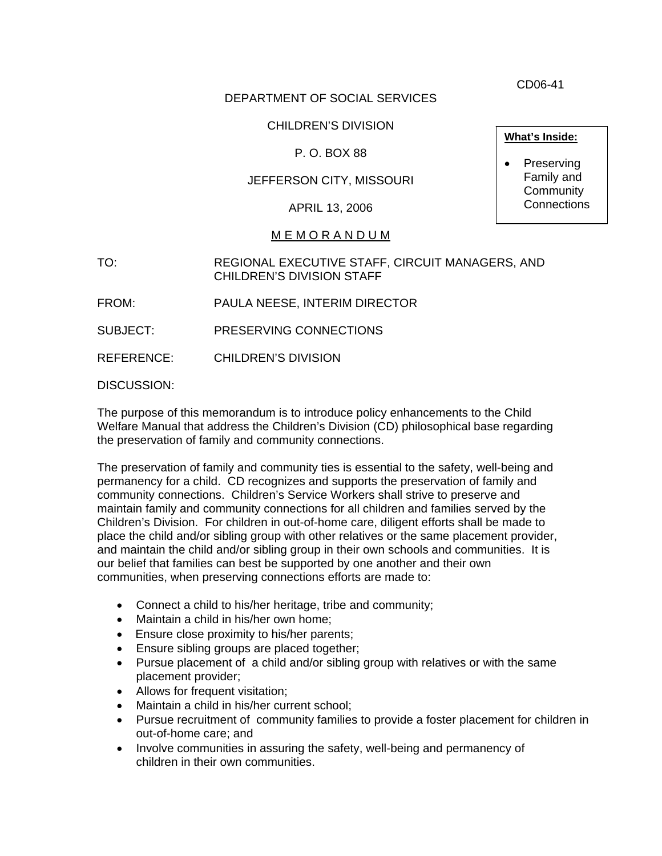CD06-41

# DEPARTMENT OF SOCIAL SERVICES

# CHILDREN'S DIVISION

# P. O. BOX 88

# JEFFERSON CITY, MISSOURI

APRIL 13, 2006

#### M E M O R A N D U M

TO: REGIONAL EXECUTIVE STAFF, CIRCUIT MANAGERS, AND CHILDREN'S DIVISION STAFF

FROM: PAULA NEESE, INTERIM DIRECTOR

SUBJECT: PRESERVING CONNECTIONS

REFERENCE: CHILDREN'S DIVISION

DISCUSSION:

The purpose of this memorandum is to introduce policy enhancements to the Child Welfare Manual that address the Children's Division (CD) philosophical base regarding the preservation of family and community connections.

The preservation of family and community ties is essential to the safety, well-being and permanency for a child. CD recognizes and supports the preservation of family and community connections. Children's Service Workers shall strive to preserve and maintain family and community connections for all children and families served by the Children's Division. For children in out-of-home care, diligent efforts shall be made to place the child and/or sibling group with other relatives or the same placement provider, and maintain the child and/or sibling group in their own schools and communities. It is our belief that families can best be supported by one another and their own communities, when preserving connections efforts are made to:

- Connect a child to his/her heritage, tribe and community;
- Maintain a child in his/her own home;
- Ensure close proximity to his/her parents;
- Ensure sibling groups are placed together;
- Pursue placement of a child and/or sibling group with relatives or with the same placement provider;
- Allows for frequent visitation;
- Maintain a child in his/her current school;
- Pursue recruitment of community families to provide a foster placement for children in out-of-home care; and
- Involve communities in assuring the safety, well-being and permanency of children in their own communities.

**What's Inside:**

• Preserving Family and **Community Connections**